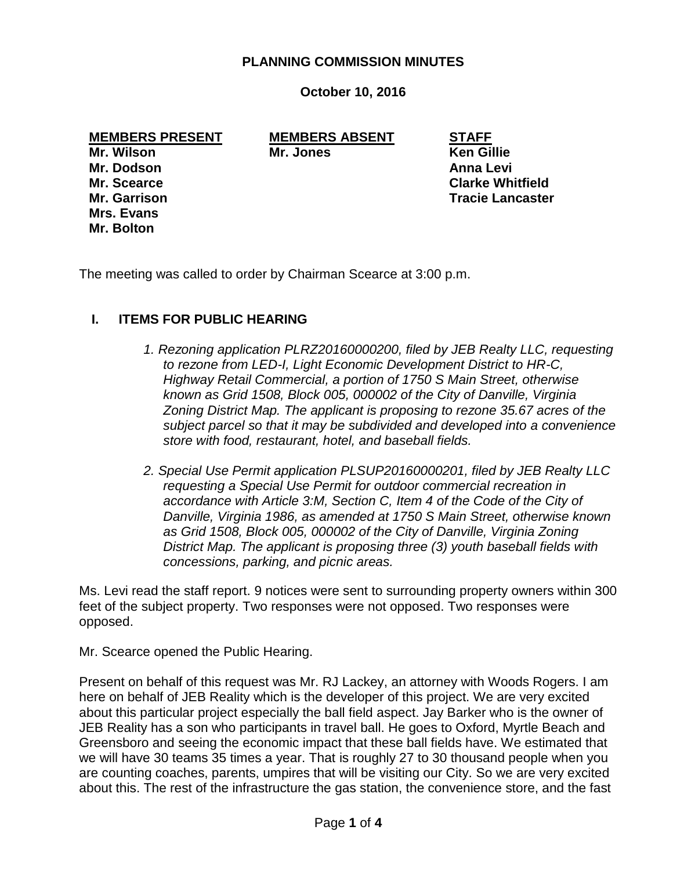#### **PLANNING COMMISSION MINUTES**

**October 10, 2016**

**MEMBERS PRESENT MEMBERS ABSENT STAFF**

**Mrs. Evans Mr. Bolton**

**Mr. Wilson Mr. Jones Ken Gillie**

**Mr. Dodson Anna Levi Mr. Scearce Clarke Whitfield Mr. Garrison Tracie Lancaster**

The meeting was called to order by Chairman Scearce at 3:00 p.m.

## **I. ITEMS FOR PUBLIC HEARING**

- *1. Rezoning application PLRZ20160000200, filed by JEB Realty LLC, requesting to rezone from LED-I, Light Economic Development District to HR-C, Highway Retail Commercial, a portion of 1750 S Main Street, otherwise known as Grid 1508, Block 005, 000002 of the City of Danville, Virginia Zoning District Map. The applicant is proposing to rezone 35.67 acres of the subject parcel so that it may be subdivided and developed into a convenience store with food, restaurant, hotel, and baseball fields.*
- *2. Special Use Permit application PLSUP20160000201, filed by JEB Realty LLC requesting a Special Use Permit for outdoor commercial recreation in accordance with Article 3:M, Section C, Item 4 of the Code of the City of Danville, Virginia 1986, as amended at 1750 S Main Street, otherwise known as Grid 1508, Block 005, 000002 of the City of Danville, Virginia Zoning District Map. The applicant is proposing three (3) youth baseball fields with concessions, parking, and picnic areas.*

Ms. Levi read the staff report. 9 notices were sent to surrounding property owners within 300 feet of the subject property. Two responses were not opposed. Two responses were opposed.

Mr. Scearce opened the Public Hearing.

Present on behalf of this request was Mr. RJ Lackey, an attorney with Woods Rogers. I am here on behalf of JEB Reality which is the developer of this project. We are very excited about this particular project especially the ball field aspect. Jay Barker who is the owner of JEB Reality has a son who participants in travel ball. He goes to Oxford, Myrtle Beach and Greensboro and seeing the economic impact that these ball fields have. We estimated that we will have 30 teams 35 times a year. That is roughly 27 to 30 thousand people when you are counting coaches, parents, umpires that will be visiting our City. So we are very excited about this. The rest of the infrastructure the gas station, the convenience store, and the fast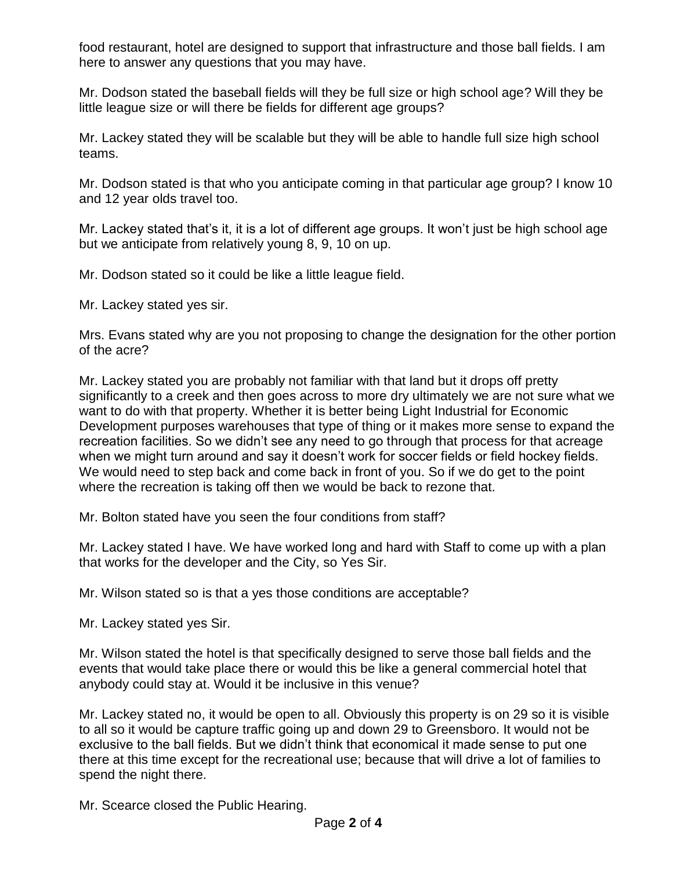food restaurant, hotel are designed to support that infrastructure and those ball fields. I am here to answer any questions that you may have.

Mr. Dodson stated the baseball fields will they be full size or high school age? Will they be little league size or will there be fields for different age groups?

Mr. Lackey stated they will be scalable but they will be able to handle full size high school teams.

Mr. Dodson stated is that who you anticipate coming in that particular age group? I know 10 and 12 year olds travel too.

Mr. Lackey stated that's it, it is a lot of different age groups. It won't just be high school age but we anticipate from relatively young 8, 9, 10 on up.

Mr. Dodson stated so it could be like a little league field.

Mr. Lackey stated yes sir.

Mrs. Evans stated why are you not proposing to change the designation for the other portion of the acre?

Mr. Lackey stated you are probably not familiar with that land but it drops off pretty significantly to a creek and then goes across to more dry ultimately we are not sure what we want to do with that property. Whether it is better being Light Industrial for Economic Development purposes warehouses that type of thing or it makes more sense to expand the recreation facilities. So we didn't see any need to go through that process for that acreage when we might turn around and say it doesn't work for soccer fields or field hockey fields. We would need to step back and come back in front of you. So if we do get to the point where the recreation is taking off then we would be back to rezone that.

Mr. Bolton stated have you seen the four conditions from staff?

Mr. Lackey stated I have. We have worked long and hard with Staff to come up with a plan that works for the developer and the City, so Yes Sir.

Mr. Wilson stated so is that a yes those conditions are acceptable?

Mr. Lackey stated yes Sir.

Mr. Wilson stated the hotel is that specifically designed to serve those ball fields and the events that would take place there or would this be like a general commercial hotel that anybody could stay at. Would it be inclusive in this venue?

Mr. Lackey stated no, it would be open to all. Obviously this property is on 29 so it is visible to all so it would be capture traffic going up and down 29 to Greensboro. It would not be exclusive to the ball fields. But we didn't think that economical it made sense to put one there at this time except for the recreational use; because that will drive a lot of families to spend the night there.

Mr. Scearce closed the Public Hearing.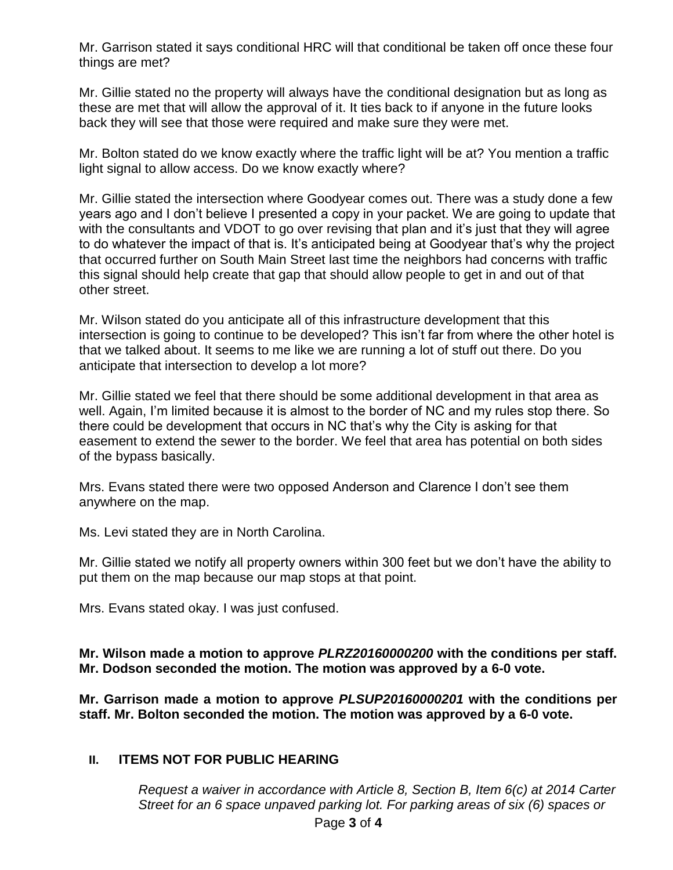Mr. Garrison stated it says conditional HRC will that conditional be taken off once these four things are met?

Mr. Gillie stated no the property will always have the conditional designation but as long as these are met that will allow the approval of it. It ties back to if anyone in the future looks back they will see that those were required and make sure they were met.

Mr. Bolton stated do we know exactly where the traffic light will be at? You mention a traffic light signal to allow access. Do we know exactly where?

Mr. Gillie stated the intersection where Goodyear comes out. There was a study done a few years ago and I don't believe I presented a copy in your packet. We are going to update that with the consultants and VDOT to go over revising that plan and it's just that they will agree to do whatever the impact of that is. It's anticipated being at Goodyear that's why the project that occurred further on South Main Street last time the neighbors had concerns with traffic this signal should help create that gap that should allow people to get in and out of that other street.

Mr. Wilson stated do you anticipate all of this infrastructure development that this intersection is going to continue to be developed? This isn't far from where the other hotel is that we talked about. It seems to me like we are running a lot of stuff out there. Do you anticipate that intersection to develop a lot more?

Mr. Gillie stated we feel that there should be some additional development in that area as well. Again, I'm limited because it is almost to the border of NC and my rules stop there. So there could be development that occurs in NC that's why the City is asking for that easement to extend the sewer to the border. We feel that area has potential on both sides of the bypass basically.

Mrs. Evans stated there were two opposed Anderson and Clarence I don't see them anywhere on the map.

Ms. Levi stated they are in North Carolina.

Mr. Gillie stated we notify all property owners within 300 feet but we don't have the ability to put them on the map because our map stops at that point.

Mrs. Evans stated okay. I was just confused.

**Mr. Wilson made a motion to approve** *PLRZ20160000200* **with the conditions per staff. Mr. Dodson seconded the motion. The motion was approved by a 6-0 vote.**

**Mr. Garrison made a motion to approve** *PLSUP20160000201* **with the conditions per staff. Mr. Bolton seconded the motion. The motion was approved by a 6-0 vote.**

# **II. ITEMS NOT FOR PUBLIC HEARING**

*Request a waiver in accordance with Article 8, Section B, Item 6(c) at 2014 Carter Street for an 6 space unpaved parking lot. For parking areas of six (6) spaces or*